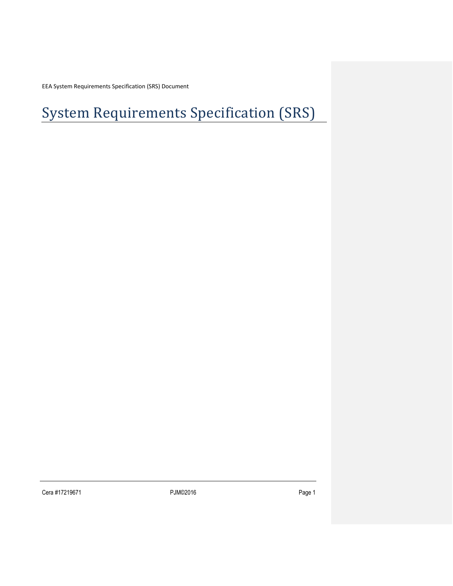EEA System Requirements Specification (SRS) Document

# System Requirements Specification (SRS)

Cera #17219671 P3M©2016 PJM©2016 P3MO2016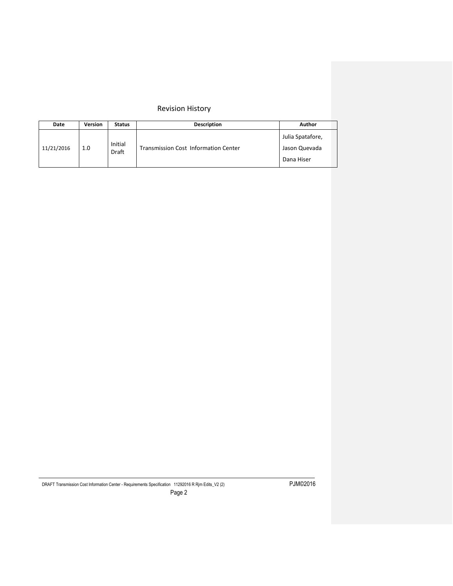# Revision History

| Date       | Version | <b>Status</b>           | <b>Description</b>                          | Author                                          |
|------------|---------|-------------------------|---------------------------------------------|-------------------------------------------------|
| 11/21/2016 | 1.0     | Initial<br><b>Draft</b> | <b>Transmission Cost Information Center</b> | Julia Spatafore,<br>Jason Quevada<br>Dana Hiser |

DRAFT Transmission Cost Information Center - Requirements Specification 11292016 R Rjm Edits\_V2 (2) PJM©2016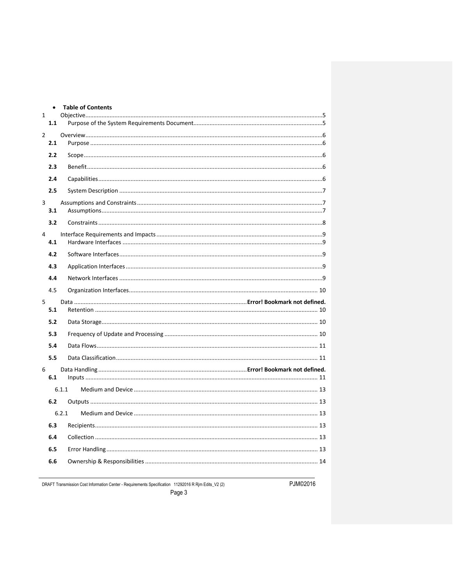|   | $\bullet$ | <b>Table of Contents</b> |
|---|-----------|--------------------------|
| 1 |           |                          |
|   | 1.1       |                          |
| 2 |           |                          |
|   | 2.1       |                          |
|   | 2.2       |                          |
|   | 2.3       |                          |
|   | 2.4       |                          |
|   | 2.5       |                          |
| 3 | 3.1       |                          |
|   | 3.2       |                          |
| 4 | 4.1       |                          |
|   | 4.2       |                          |
|   | 4.3       |                          |
|   | 4.4       |                          |
|   | 4.5       |                          |
| 5 |           |                          |
|   | 5.1       |                          |
|   | 5.2       |                          |
|   | 5.3       |                          |
|   | 5.4       |                          |
|   | 5.5       |                          |
| 6 |           |                          |
|   | 6.1       |                          |
|   |           | 6.1.1                    |
|   | 6.2       |                          |
|   |           | 6.2.1                    |
|   | 6.3       |                          |
|   | 6.4       |                          |
|   | 6.5       |                          |
|   | 6.6       |                          |
|   |           |                          |

DRAFT Transmission Cost Information Center - Requirements Specification 11292016 R Rjm Edits\_V2 (2)

PJM©2016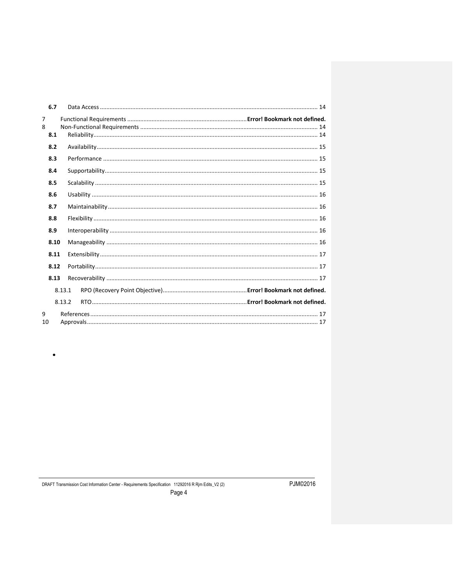|         | 6.7  |        |  |
|---------|------|--------|--|
| 7<br>8  | 8.1  |        |  |
|         | 8.2  |        |  |
|         | 8.3  |        |  |
|         | 8.4  |        |  |
|         | 8.5  |        |  |
|         | 8.6  |        |  |
|         | 8.7  |        |  |
|         | 8.8  |        |  |
|         | 8.9  |        |  |
|         | 8.10 |        |  |
|         | 8.11 |        |  |
|         | 8.12 |        |  |
|         | 8.13 |        |  |
|         |      | 8.13.1 |  |
|         |      | 8.13.2 |  |
| 9<br>10 |      |        |  |

 $\bullet$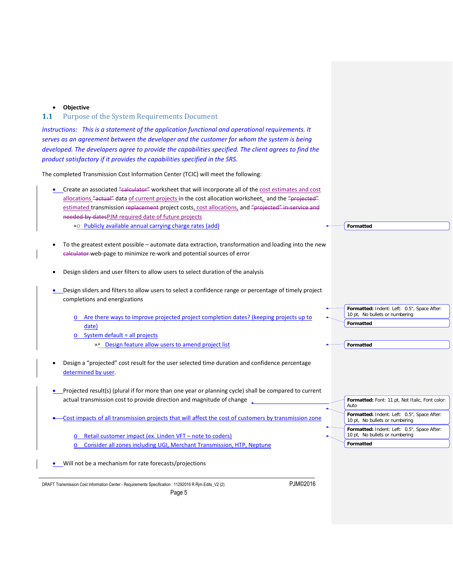#### <span id="page-4-0"></span>• **Objective**

# <span id="page-4-1"></span>**1.1** Purpose of the System Requirements Document

*Instructions: This is a statement of the application functional and operational requirements. It serves as an agreement between the developer and the customer for whom the system is being developed. The developers agree to provide the capabilities specified. The client agrees to find the product satisfactory if it provides the capabilities specified in the SRS.*

The completed Transmission Cost Information Center (TCIC) will meet the following:

| Create an associated "calculator" worksheet that will incorporate all of the cost estimates and cost<br>allocations "actual" data of current projects in the cost allocation worksheet, and the "projected"<br>estimated transmission replacement project costs, cost allocations, and "projected" in service and |                                                                                            |
|-------------------------------------------------------------------------------------------------------------------------------------------------------------------------------------------------------------------------------------------------------------------------------------------------------------------|--------------------------------------------------------------------------------------------|
| needed-by datesPJM required date of future projects<br>• Publicly available annual carrying charge rates (add)                                                                                                                                                                                                    | Formatted                                                                                  |
|                                                                                                                                                                                                                                                                                                                   |                                                                                            |
| To the greatest extent possible - automate data extraction, transformation and loading into the new<br>calculator-web-page to minimize re-work and potential sources of error                                                                                                                                     |                                                                                            |
| Design sliders and user filters to allow users to select duration of the analysis                                                                                                                                                                                                                                 |                                                                                            |
| Design sliders and filters to allow users to select a confidence range or percentage of timely project<br>completions and energizations                                                                                                                                                                           |                                                                                            |
| Are there ways to improve projected project completion dates? (keeping projects up to<br>date)                                                                                                                                                                                                                    | Formatted: Indent: Left: 0.5", Space After:<br>10 pt, No bullets or numbering<br>Formatted |
| System default = all projects<br>$\circ$                                                                                                                                                                                                                                                                          |                                                                                            |
| - Design feature allow users to amend project list                                                                                                                                                                                                                                                                | Formatted                                                                                  |
| Design a "projected" cost result for the user selected time duration and confidence percentage<br>determined by user.                                                                                                                                                                                             |                                                                                            |
| Projected result(s) (plural if for more than one year or planning cycle) shall be compared to current<br>actual transmission cost to provide direction and magnitude of change                                                                                                                                    | Formatted: Font: 11 pt, Not Italic, Font color:                                            |
|                                                                                                                                                                                                                                                                                                                   | Auto                                                                                       |
| Cost impacts of all transmission projects that will affect the cost of customers by transmission zone                                                                                                                                                                                                             | Formatted: Indent: Left: 0.5", Space After:<br>10 pt, No bullets or numbering              |
| Retail customer impact (ex. Linden VFT - note to coders)                                                                                                                                                                                                                                                          | Formatted: Indent: Left: 0.5", Space After:<br>10 pt, No bullets or numbering              |
| Consider all zones including UGI, Merchant Transmission, HTP, Neptune<br>$\circ$                                                                                                                                                                                                                                  | <b>Formatted</b>                                                                           |
| Will not be a mechanism for rate forecasts/projections                                                                                                                                                                                                                                                            |                                                                                            |

DRAFT Transmission Cost Information Center - Requirements Specification 11292016 R Rjm Edits\_V2 (2) PJM©2016 Page 5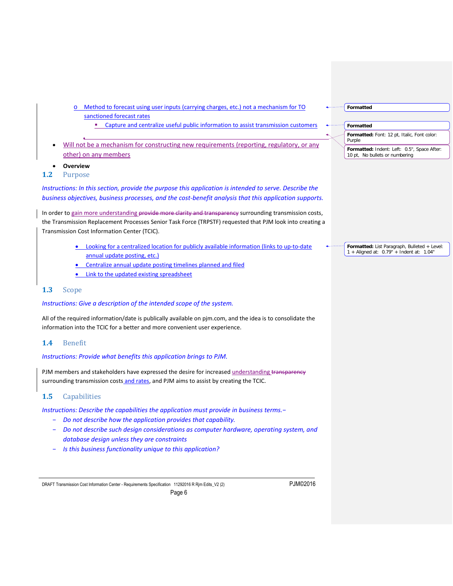- o Method to forecast using user inputs (carrying charges, etc.) not a mechanism for TO sanctioned forecast rates
	- Capture and centralize useful public information to assist transmission customers
- Will not be a mechanism for constructing new requirements (reporting, regulatory, or any other) on any members

<span id="page-5-0"></span>• **Overview**

<span id="page-5-1"></span>**1.2** Purpose

*Instructions: In this section, provide the purpose this application is intended to serve. Describe the business objectives, business processes, and the cost-benefit analysis that this application supports.*

In order to gain more understanding provide more clarity and transparency surrounding transmission costs, the Transmission Replacement Processes Senior Task Force (TRPSTF) requested that PJM look into creating a Transmission Cost Information Center (TCIC).

- Looking for a centralized location for publicly available information (links to up-to-date annual update posting, etc.)
- **•** Centralize annual update posting timelines planned and filed
- **Link to the updated existing spreadsheet**

# <span id="page-5-2"></span>**1.3** Scope

#### *Instructions: Give a description of the intended scope of the system.*

All of the required information/date is publically available on pjm.com, and the idea is to consolidate the information into the TCIC for a better and more convenient user experience.

#### <span id="page-5-3"></span>**1.4** Benefit

#### *Instructions: Provide what benefits this application brings to PJM.*

PJM members and stakeholders have expressed the desire for increased understanding transparency surrounding transmission costs and rates, and PJM aims to assist by creating the TCIC.

# <span id="page-5-4"></span>**1.5** Capabilities

*Instructions: Describe the capabilities the application must provide in business terms.−*

- − *Do not describe how the application provides that capability.*
- − *Do not describe such design considerations as computer hardware, operating system, and database design unless they are constraints*

Page 6

− *Is this business functionality unique to this application?*

DRAFT Transmission Cost Information Center - Requirements Specification 11292016 R Rjm Edits\_V2 (2) PJM©2016

| Formatted                                                                     |  |  |  |  |  |
|-------------------------------------------------------------------------------|--|--|--|--|--|
|                                                                               |  |  |  |  |  |
| Formatted                                                                     |  |  |  |  |  |
| Formatted: Font: 12 pt, Italic, Font color:<br>Purple                         |  |  |  |  |  |
| Formatted: Indent: Left: 0.5", Space After:<br>10 pt, No bullets or numbering |  |  |  |  |  |

**Formatted:** List Paragraph, Bulleted + Level: 1 + Aligned at: 0.79" + Indent at: 1.04"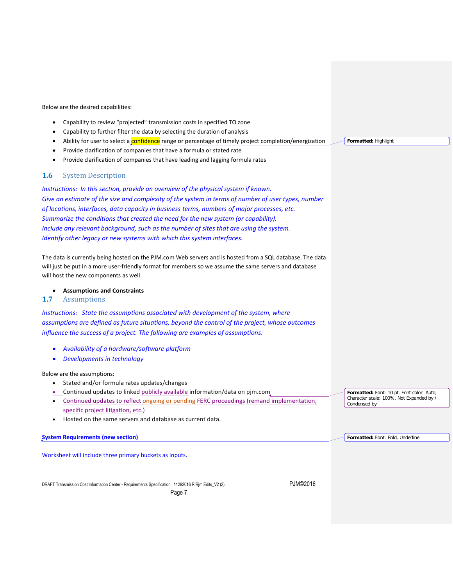Below are the desired capabilities:

- Capability to review "projected" transmission costs in specified TO zone
- Capability to further filter the data by selecting the duration of analysis
- Ability for user to select a confidence range or percentage of timely project completion/energization
- Provide clarification of companies that have a formula or stated rate
- Provide clarification of companies that have leading and lagging formula rates

# <span id="page-6-0"></span>**1.6** System Description

*Instructions: In this section, provide an overview of the physical system if known. Give an estimate of the size and complexity of the system in terms of number of user types, number of locations, interfaces, data capacity in business terms, numbers of major processes, etc. Summarize the conditions that created the need for the new system (or capability). Include any relevant background, such as the number of sites that are using the system. Identify other legacy or new systems with which this system interfaces.*

The data is currently being hosted on the PJM.com Web servers and is hosted from a SQL database. The data will just be put in a more user-friendly format for members so we assume the same servers and database will host the new components as well.

• **Assumptions and Constraints**

# <span id="page-6-2"></span><span id="page-6-1"></span>**1.7** Assumptions

*Instructions: State the assumptions associated with development of the system, where assumptions are defined as future situations, beyond the control of the project, whose outcomes influence the success of a project. The following are examples of assumptions:*

- *Availability of a hardware/software platform*
- *Developments in technology*

#### Below are the assumptions:

- Stated and/or formula rates updates/changes
- Continued updates to linked publicly available information/data on pjm.com
- Continued updates to reflect ongoing or pending FERC proceedings (remand implementation, specific project litigation, etc.)

Page 7

• Hosted on the same servers and database as current data.

**System Requirements (new section)**

Worksheet will include three primary buckets as inputs.

DRAFT Transmission Cost Information Center - Requirements Specification 11292016 R Rjm Edits\_V2 (2) PJM©2016

**Formatted:** Font: 10 pt, Font color: Auto, Character scale: 100%, Not Expanded by / Condensed by

**Formatted:** Font: Bold, Underline

**Formatted:** Highlight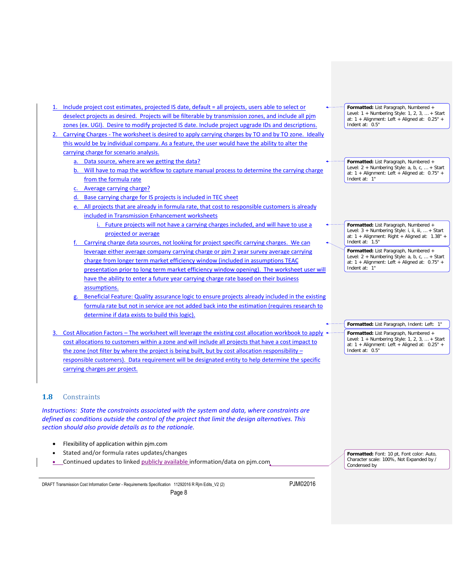- 1. Include project cost estimates, projected IS date, default = all projects, users able to select or deselect projects as desired. Projects will be filterable by transmission zones, and include all pjm zones (ex. UGI). Desire to modify projected IS date. Include project upgrade IDs and descriptions.
- 2. Carrying Charges The worksheet is desired to apply carrying charges by TO and by TO zone. Ideally this would be by individual company. As a feature, the user would have the ability to alter the carrying charge for scenario analysis.
	- a. Data source, where are we getting the data?
	- b. Will have to map the workflow to capture manual process to determine the carrying charge from the formula rate
	- c. Average carrying charge?
	- d. Base carrying charge for IS projects is included in TEC sheet
	- e. All projects that are already in formula rate, that cost to responsible customers is already included in Transmission Enhancement worksheets
		- i. Future projects will not have a carrying charges included, and will have to use a projected or average
	- Carrying charge data sources, not looking for project specific carrying charges. We can leverage either average company carrying charge or pjm 2 year survey average carrying charge from longer term market efficiency window (included in assumptions TEAC presentation prior to long term market efficiency window opening). The worksheet user will have the ability to enter a future year carrying charge rate based on their business assumptions.
	- Beneficial Feature: Quality assurance logic to ensure projects already included in the existing formula rate but not in service are not added back into the estimation (requires research to determine if data exists to build this logic).
- 3. Cost Allocation Factors The worksheet will leverage the existing cost allocation workbook to apply cost allocations to customers within a zone and will include all projects that have a cost impact to the zone (not filter by where the project is being built, but by cost allocation responsibility responsible customers). Data requirement will be designated entity to help determine the specific carrying charges per project.

# <span id="page-7-0"></span>**1.8** Constraints

*Instructions: State the constraints associated with the system and data, where constraints are defined as conditions outside the control of the project that limit the design alternatives. This section should also provide details as to the rationale.*

- Flexibility of application within pjm.com
- Stated and/or formula rates updates/changes
- Continued updates to linked publicly available information/data on pjm.com

DRAFT Transmission Cost Information Center - Requirements Specification 11292016 R Rjm Edits\_V2 (2) PJM©2016

**Formatted:** List Paragraph, Numbered + Level: 1 + Numbering Style: 1, 2, 3, … + Start at: 1 + Alignment: Left + Aligned at: 0.25" + Indent at: 0.5"

**Formatted:** List Paragraph, Numbered + Level: 2 + Numbering Style: a, b, c, … + Start at: 1 + Alignment: Left + Aligned at: 0.75" + Indent at: 1"

**Formatted:** List Paragraph, Numbered + Level: 3 + Numbering Style: i, ii, iii, ... + Start at: 1 + Alignment: Right + Aligned at: 1.38" + Indent at: 1.5"

**Formatted:** List Paragraph, Numbered + Level: 2 + Numbering Style: a, b, c, … + Start at: 1 + Alignment: Left + Aligned at: 0.75" + Indent at: 1"

**Formatted:** List Paragraph, Indent: Left: 1" **Formatted:** List Paragraph, Numbered + Level: 1 + Numbering Style: 1, 2, 3, … + Start at: 1 + Alignment: Left + Aligned at: 0.25" + Indent at: 0.5"

**Formatted:** Font: 10 pt, Font color: Auto, Character scale: 100%, Not Expanded by / Condensed by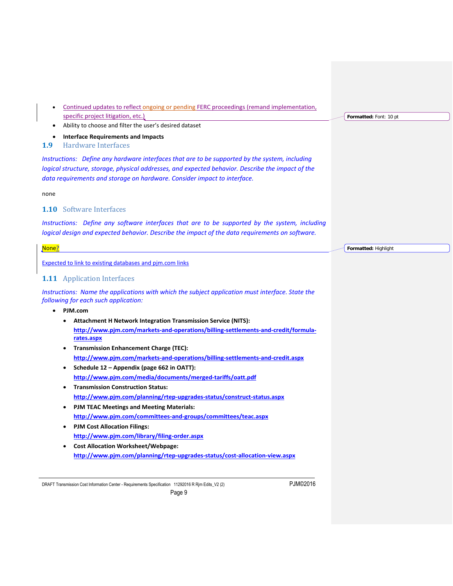- Continued updates to reflect ongoing or pending FERC proceedings (remand implementation, specific project litigation, etc.)
- Ability to choose and filter the user's desired dataset

<span id="page-8-0"></span>• **Interface Requirements and Impacts**

# <span id="page-8-1"></span>**1.9** Hardware Interfaces

*Instructions: Define any hardware interfaces that are to be supported by the system, including logical structure, storage, physical addresses, and expected behavior. Describe the impact of the data requirements and storage on hardware. Consider impact to interface.*

<span id="page-8-2"></span>none

# **1.10** Software Interfaces

*Instructions: Define any software interfaces that are to be supported by the system, including logical design and expected behavior. Describe the impact of the data requirements on software.*

#### <span id="page-8-3"></span>None? Expected to link to existing databases and pjm.com links **Formatted:** Highlight

# **1.11** Application Interfaces

*Instructions: Name the applications with which the subject application must interface. State the following for each such application:*

#### • **PJM.com**

- **Attachment H Network Integration Transmission Service (NITS): [http://www.pjm.com/markets-and-operations/billing-settlements-and-credit/formula](http://www.pjm.com/markets-and-operations/billing-settlements-and-credit/formula-rates.aspx)[rates.aspx](http://www.pjm.com/markets-and-operations/billing-settlements-and-credit/formula-rates.aspx)**
- **Transmission Enhancement Charge (TEC): <http://www.pjm.com/markets-and-operations/billing-settlements-and-credit.aspx>**
- **Schedule 12 – Appendix (page 662 in OATT): <http://www.pjm.com/media/documents/merged-tariffs/oatt.pdf>**
- **Transmission Construction Status: <http://www.pjm.com/planning/rtep-upgrades-status/construct-status.aspx>**
- **PJM TEAC Meetings and Meeting Materials: <http://www.pjm.com/committees-and-groups/committees/teac.aspx>**
- **PJM Cost Allocation Filings: <http://www.pjm.com/library/filing-order.aspx>**
- **Cost Allocation Worksheet/Webpage: <http://www.pjm.com/planning/rtep-upgrades-status/cost-allocation-view.aspx>**

DRAFT Transmission Cost Information Center - Requirements Specification 11292016 R Rjm Edits\_V2 (2) PJM©2016

**Formatted:** Font: 10 pt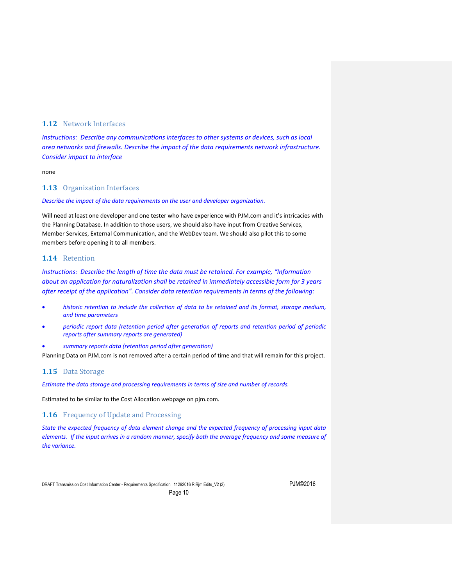# <span id="page-9-0"></span>**1.12** Network Interfaces

*Instructions: Describe any communications interfaces to other systems or devices, such as local area networks and firewalls. Describe the impact of the data requirements network infrastructure. Consider impact to interface*

<span id="page-9-1"></span>none

# **1.13** Organization Interfaces

#### *Describe the impact of the data requirements on the user and developer organization.*

<span id="page-9-2"></span>Will need at least one developer and one tester who have experience with PJM.com and it's intricacies with the Planning Database. In addition to those users, we should also have input from Creative Services, Member Services, External Communication, and the WebDev team. We should also pilot this to some members before opening it to all members.

# **1.14** Retention

*Instructions: Describe the length of time the data must be retained. For example, "Information about an application for naturalization shall be retained in immediately accessible form for 3 years after receipt of the application". Consider data retention requirements in terms of the following:*

- *historic retention to include the collection of data to be retained and its format, storage medium, and time parameters*
- *periodic report data (retention period after generation of reports and retention period of periodic reports after summary reports are generated)*
- *summary reports data (retention period after generation)*

Planning Data on PJM.com is not removed after a certain period of time and that will remain for this project.

#### <span id="page-9-3"></span>**1.15** Data Storage

*Estimate the data storage and processing requirements in terms of size and number of records.*

Estimated to be similar to the Cost Allocation webpage on pjm.com.

<span id="page-9-4"></span>**1.16** Frequency of Update and Processing

*State the expected frequency of data element change and the expected frequency of processing input data elements. If the input arrives in a random manner, specify both the average frequency and some measure of the variance.*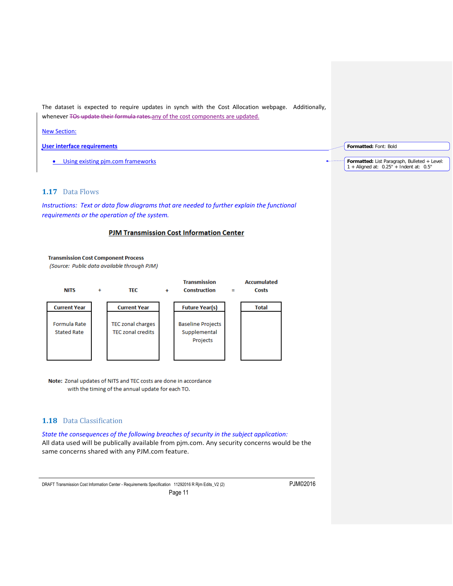The dataset is expected to require updates in synch with the Cost Allocation webpage. Additionally, whenever TOs update their formula rates-any of the cost components are updated.

#### New Section:

**User interface requirements**

• Using existing pjm.com frameworks

# <span id="page-10-0"></span>**1.17** Data Flows

*Instructions: Text or data flow diagrams that are needed to further explain the functional requirements or the operation of the system.* 

#### **PJM Transmission Cost Information Center**



Note: Zonal updates of NITS and TEC costs are done in accordance with the timing of the annual update for each TO.

# <span id="page-10-1"></span>**1.18** Data Classification

*State the consequences of the following breaches of security in the subject application:* All data used will be publically available from pjm.com. Any security concerns would be the same concerns shared with any PJM.com feature.

Page 11

DRAFT Transmission Cost Information Center - Requirements Specification 11292016 R Rjm Edits\_V2 (2) PJM©2016

**Formatted:** Font: Bold

Formatted: List Paragraph, Bulleted + Level:<br>1 + Aligned at: 0.25" + Indent at: 0.5"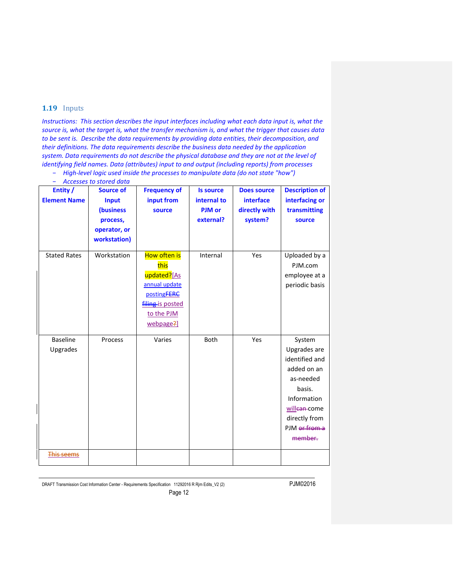# <span id="page-11-0"></span>**1.19** Inputs

*Instructions: This section describes the input interfaces including what each data input is, what the source is, what the target is, what the transfer mechanism is, and what the trigger that causes data to be sent is. Describe the data requirements by providing data entities, their decomposition, and their definitions. The data requirements describe the business data needed by the application system. Data requirements do not describe the physical database and they are not at the level of identifying field names. Data (attributes) input to and output (including reports) from processes*

− *High-level logic used inside the processes to manipulate data (do not state "how")*

|  | <b>Accesses to stored data</b> |  |  |  |  |  |
|--|--------------------------------|--|--|--|--|--|
|--|--------------------------------|--|--|--|--|--|

| Entity /<br><b>Element Name</b> | <b>Source of</b><br>Input<br>(business<br>process,<br>operator, or<br>workstation) | <b>Frequency of</b><br>input from<br>source                                                                        | <b>Is source</b><br>internal to<br>PJM or<br>external? | <b>Does source</b><br>interface<br>directly with<br>system? | <b>Description of</b><br>interfacing or<br>transmitting<br>source                                                                                          |
|---------------------------------|------------------------------------------------------------------------------------|--------------------------------------------------------------------------------------------------------------------|--------------------------------------------------------|-------------------------------------------------------------|------------------------------------------------------------------------------------------------------------------------------------------------------------|
| <b>Stated Rates</b>             | Workstation                                                                        | How often is<br>this<br>updated?[As<br>annual update<br>postingFERC<br>filing is posted<br>to the PJM<br>webpage?] | Internal                                               | Yes                                                         | Uploaded by a<br>PJM.com<br>employee at a<br>periodic basis                                                                                                |
| <b>Baseline</b><br>Upgrades     | Process                                                                            | Varies                                                                                                             | Both                                                   | Yes                                                         | System<br>Upgrades are<br>identified and<br>added on an<br>as-needed<br>basis.<br>Information<br>willean-come<br>directly from<br>PJM or from a<br>member. |
| <b>This seems</b>               |                                                                                    |                                                                                                                    |                                                        |                                                             |                                                                                                                                                            |

DRAFT Transmission Cost Information Center - Requirements Specification 11292016 R Rjm Edits\_V2 (2) PJM©2016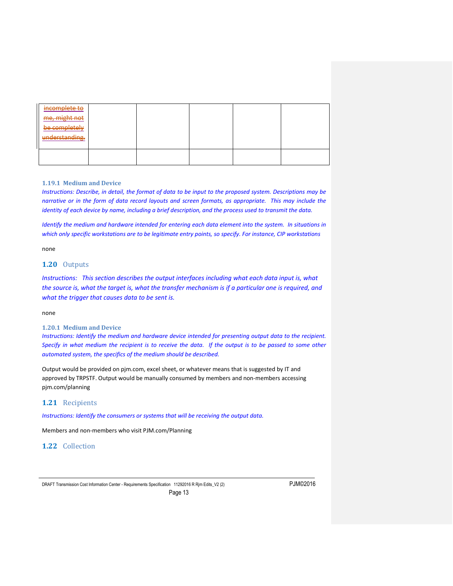| incomplete to  |  |  |  |
|----------------|--|--|--|
| me, might not  |  |  |  |
| be completely  |  |  |  |
| understanding. |  |  |  |
|                |  |  |  |
|                |  |  |  |
|                |  |  |  |

#### <span id="page-12-0"></span>**1.19.1 Medium and Device**

*Instructions: Describe, in detail, the format of data to be input to the proposed system. Descriptions may be narrative or in the form of data record layouts and screen formats, as appropriate. This may include the identity of each device by name, including a brief description, and the process used to transmit the data.* 

*Identify the medium and hardware intended for entering each data element into the system. In situations in which only specific workstations are to be legitimate entry points, so specify. For instance, CIP workstations*

none

# <span id="page-12-1"></span>**1.20** Outputs

*Instructions: This section describes the output interfaces including what each data input is, what the source is, what the target is, what the transfer mechanism is if a particular one is required, and what the trigger that causes data to be sent is.* 

#### none

#### <span id="page-12-2"></span>**1.20.1 Medium and Device**

*Instructions: Identify the medium and hardware device intended for presenting output data to the recipient. Specify in what medium the recipient is to receive the data. If the output is to be passed to some other automated system, the specifics of the medium should be described.*

Output would be provided on pjm.com, excel sheet, or whatever means that is suggested by IT and approved by TRPSTF. Output would be manually consumed by members and non-members accessing pjm.com/planning

# <span id="page-12-3"></span>**1.21** Recipients

*Instructions: Identify the consumers or systems that will be receiving the output data.*

Members and non-members who visit PJM.com/Planning

#### <span id="page-12-4"></span>**1.22** Collection

DRAFT Transmission Cost Information Center - Requirements Specification 11292016 R Rjm Edits\_V2 (2) PJM©2016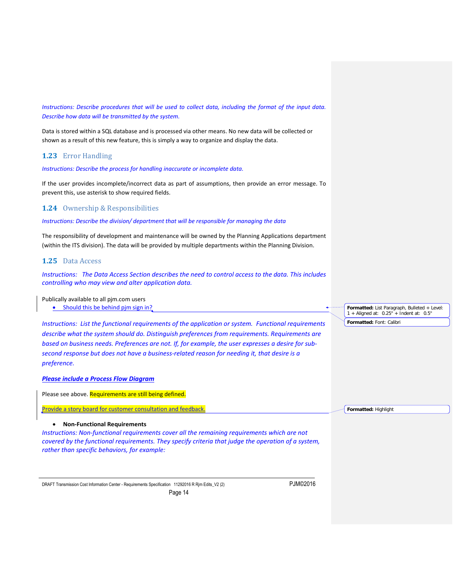*Instructions: Describe procedures that will be used to collect data, including the format of the input data. Describe how data will be transmitted by the system.*

Data is stored within a SQL database and is processed via other means. No new data will be collected or shown as a result of this new feature, this is simply a way to organize and display the data.

# <span id="page-13-0"></span>**1.23** Error Handling

*Instructions: Describe the process for handling inaccurate or incomplete data.*

If the user provides incomplete/incorrect data as part of assumptions, then provide an error message. To prevent this, use asterisk to show required fields.

# <span id="page-13-1"></span>**1.24** Ownership & Responsibilities

*Instructions: Describe the division/ department that will be responsible for managing the data*

The responsibility of development and maintenance will be owned by the Planning Applications department (within the ITS division). The data will be provided by multiple departments within the Planning Division.

#### <span id="page-13-2"></span>**1.25** Data Access

*Instructions: The Data Access Section describes the need to control access to the data. This includes controlling who may view and alter application data.* 

#### Publically available to all pjm.com users

• Should this be behind pjm sign in?

*Instructions: List the functional requirements of the application or system. Functional requirements describe what the system should do. Distinguish preferences from requirements. Requirements are based on business needs. Preferences are not. If, for example, the user expresses a desire for subsecond response but does not have a business-related reason for needing it, that desire is a preference.* 

*Please include a Process Flow Diagram*

Please see above. Requirements are still being defined.

Provide a story board for customer consultation and feedback

#### • **Non-Functional Requirements**

<span id="page-13-3"></span>*Instructions: Non-functional requirements cover all the remaining requirements which are not covered by the functional requirements. They specify criteria that judge the operation of a system, rather than specific behaviors, for example:*

DRAFT Transmission Cost Information Center - Requirements Specification 11292016 R Rjm Edits\_V2 (2) PJM©2016

Page 14

**Formatted:** List Paragraph, Bulleted + Level: 1 + Aligned at: 0.25" + Indent at: 0.5" **Formatted:** Font: Calibri

**Formatted:** Highlight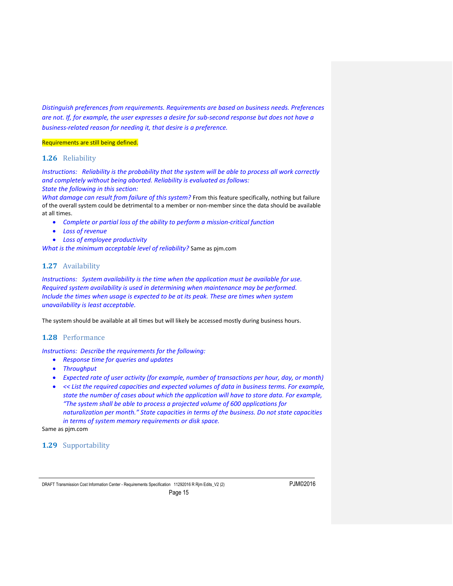*Distinguish preferences from requirements. Requirements are based on business needs. Preferences are not. If, for example, the user expresses a desire for sub-second response but does not have a business-related reason for needing it, that desire is a preference.* 

#### Requirements are still being defined.

# <span id="page-14-0"></span>**1.26** Reliability

*Instructions: Reliability is the probability that the system will be able to process all work correctly and completely without being aborted. Reliability is evaluated as follows: State the following in this section:*

*What damage can result from failure of this system?* From this feature specifically, nothing but failure of the overall system could be detrimental to a member or non-member since the data should be available at all times.

- *Complete or partial loss of the ability to perform a mission-critical function*
- *Loss of revenue*
- *Loss of employee productivity*

*What is the minimum acceptable level of reliability?* Same as pjm.com

# <span id="page-14-1"></span>**1.27** Availability

*Instructions: System availability is the time when the application must be available for use. Required system availability is used in determining when maintenance may be performed. Include the times when usage is expected to be at its peak. These are times when system unavailability is least acceptable.* 

The system should be available at all times but will likely be accessed mostly during business hours.

# <span id="page-14-2"></span>**1.28** Performance

*Instructions: Describe the requirements for the following:*

- *Response time for queries and updates*
- *Throughput*
- *Expected rate of user activity (for example, number of transactions per hour, day, or month)*
- *<< List the required capacities and expected volumes of data in business terms. For example, state the number of cases about which the application will have to store data. For example, "The system shall be able to process a projected volume of 600 applications for naturalization per month." State capacities in terms of the business. Do not state capacities in terms of system memory requirements or disk space.*

Same as pjm.com

<span id="page-14-3"></span>**1.29** Supportability

DRAFT Transmission Cost Information Center - Requirements Specification 11292016 R Rjm Edits\_V2 (2) PJM©2016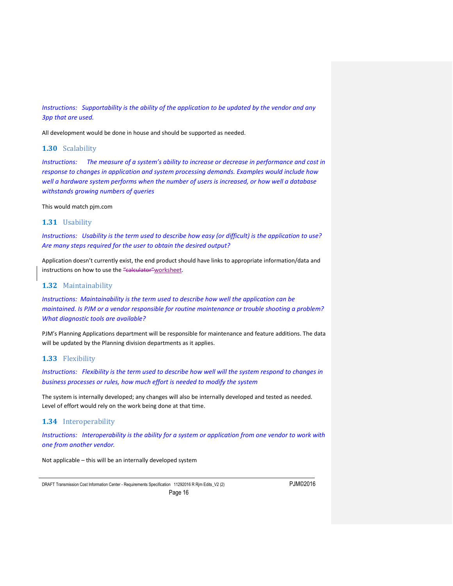*Instructions: Supportability is the ability of the application to be updated by the vendor and any 3pp that are used.* 

All development would be done in house and should be supported as needed.

#### <span id="page-15-0"></span>**1.30** Scalability

*Instructions: The measure of a system's ability to increase or decrease in performance and cost in response to changes in application and system processing demands. Examples would include how well a hardware system performs when the number of users is increased, or how well a database withstands growing numbers of queries* 

This would match pjm.com

#### <span id="page-15-1"></span>**1.31** Usability

*Instructions: Usability is the term used to describe how easy (or difficult) is the application to use? Are many steps required for the user to obtain the desired output?* 

Application doesn't currently exist, the end product should have links to appropriate information/data and instructions on how to use the "calculator" worksheet.

#### <span id="page-15-2"></span>**1.32** Maintainability

*Instructions: Maintainability is the term used to describe how well the application can be maintained. Is PJM or a vendor responsible for routine maintenance or trouble shooting a problem? What diagnostic tools are available?* 

PJM's Planning Applications department will be responsible for maintenance and feature additions. The data will be updated by the Planning division departments as it applies.

#### <span id="page-15-3"></span>**1.33** Flexibility

*Instructions: Flexibility is the term used to describe how well will the system respond to changes in business processes or rules, how much effort is needed to modify the system* 

The system is internally developed; any changes will also be internally developed and tested as needed. Level of effort would rely on the work being done at that time.

# <span id="page-15-4"></span>**1.34** Interoperability

*Instructions: Interoperability is the ability for a system or application from one vendor to work with one from another vendor.*

Not applicable – this will be an internally developed system

DRAFT Transmission Cost Information Center - Requirements Specification 11292016 R Rjm Edits\_V2 (2) PJM©2016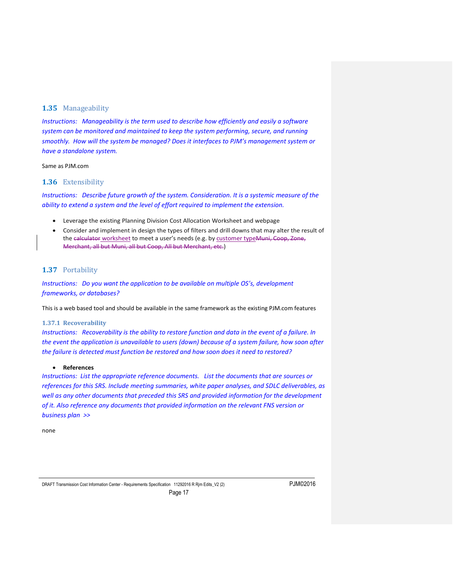# <span id="page-16-0"></span>**1.35** Manageability

*Instructions: Manageability is the term used to describe how efficiently and easily a software system can be monitored and maintained to keep the system performing, secure, and running smoothly. How will the system be managed? Does it interfaces to PJM's management system or have a standalone system.* 

#### Same as PJM.com

#### <span id="page-16-1"></span>**1.36** Extensibility

*Instructions: Describe future growth of the system. Consideration. It is a systemic measure of the ability to extend [a system](https://en.wikipedia.org/wiki/System) and the level of effort required to implement the extension.*

- Leverage the existing Planning Division Cost Allocation Worksheet and webpage
- Consider and implement in design the types of filters and drill downs that may alter the result of the calculator worksheet to meet a user's needs (e.g. by customer type Muni, Coop, Zone, Merchant, all but Muni, all but Coop, All but Merchant, etc.)

# <span id="page-16-2"></span>**1.37** Portability

<span id="page-16-3"></span>*Instructions: Do you want the application to be available on multiple OS's, development frameworks, or databases?* 

This is a web based tool and should be available in the same framework as the existing PJM.com features

#### **1.37.1 Recoverability**

*Instructions: Recoverability is the ability to restore function and data in the event of a failure. In the event the application is unavailable to users (down) because of a system failure, how soon after the failure is detected must function be restored and how soon does it need to restored?*

#### • **References**

<span id="page-16-4"></span>*Instructions: List the appropriate reference documents. List the documents that are sources or references for this SRS. Include meeting summaries, white paper analyses, and SDLC deliverables, as*  well as any other documents that preceded this SRS and provided information for the development *of it. Also reference any documents that provided information on the relevant FNS version or business plan >>* 

none